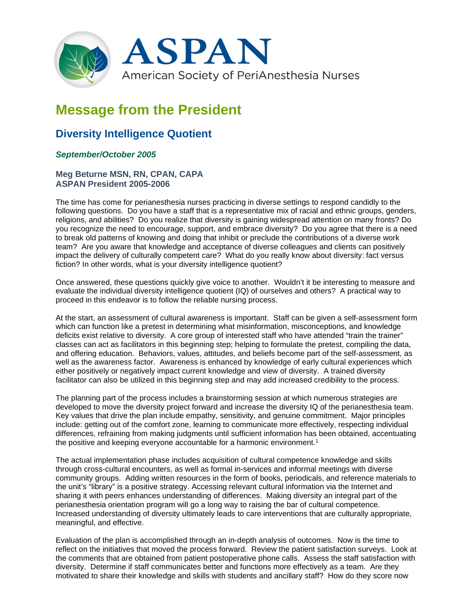

# **Message from the President**

# **Diversity Intelligence Quotient**

## *September/October 2005*

### **Meg Beturne MSN, RN, CPAN, CAPA ASPAN President 2005-2006**

The time has come for perianesthesia nurses practicing in diverse settings to respond candidly to the following questions. Do you have a staff that is a representative mix of racial and ethnic groups, genders, religions, and abilities? Do you realize that diversity is gaining widespread attention on many fronts? Do you recognize the need to encourage, support, and embrace diversity? Do you agree that there is a need to break old patterns of knowing and doing that inhibit or preclude the contributions of a diverse work team? Are you aware that knowledge and acceptance of diverse colleagues and clients can positively impact the delivery of culturally competent care? What do you really know about diversity: fact versus fiction? In other words, what is your diversity intelligence quotient?

Once answered, these questions quickly give voice to another. Wouldn't it be interesting to measure and evaluate the individual diversity intelligence quotient (IQ) of ourselves and others? A practical way to proceed in this endeavor is to follow the reliable nursing process.

At the start, an assessment of cultural awareness is important. Staff can be given a self-assessment form which can function like a pretest in determining what misinformation, misconceptions, and knowledge deficits exist relative to diversity. A core group of interested staff who have attended "train the trainer" classes can act as facilitators in this beginning step; helping to formulate the pretest, compiling the data, and offering education. Behaviors, values, attitudes, and beliefs become part of the self-assessment, as well as the awareness factor. Awareness is enhanced by knowledge of early cultural experiences which either positively or negatively impact current knowledge and view of diversity. A trained diversity facilitator can also be utilized in this beginning step and may add increased credibility to the process.

The planning part of the process includes a brainstorming session at which numerous strategies are developed to move the diversity project forward and increase the diversity IQ of the perianesthesia team. Key values that drive the plan include empathy, sensitivity, and genuine commitment. Major principles include: getting out of the comfort zone, learning to communicate more effectively, respecting individual differences, refraining from making judgments until sufficient information has been obtained, accentuating the positive and keeping everyone accountable for a harmonic environment.<sup>1</sup>

The actual implementation phase includes acquisition of cultural competence knowledge and skills through cross-cultural encounters, as well as formal in-services and informal meetings with diverse community groups. Adding written resources in the form of books, periodicals, and reference materials to the unit's "library" is a positive strategy. Accessing relevant cultural information via the Internet and sharing it with peers enhances understanding of differences. Making diversity an integral part of the perianesthesia orientation program will go a long way to raising the bar of cultural competence. Increased understanding of diversity ultimately leads to care interventions that are culturally appropriate, meaningful, and effective.

Evaluation of the plan is accomplished through an in-depth analysis of outcomes. Now is the time to reflect on the initiatives that moved the process forward. Review the patient satisfaction surveys. Look at the comments that are obtained from patient postoperative phone calls. Assess the staff satisfaction with diversity. Determine if staff communicates better and functions more effectively as a team. Are they motivated to share their knowledge and skills with students and ancillary staff? How do they score now